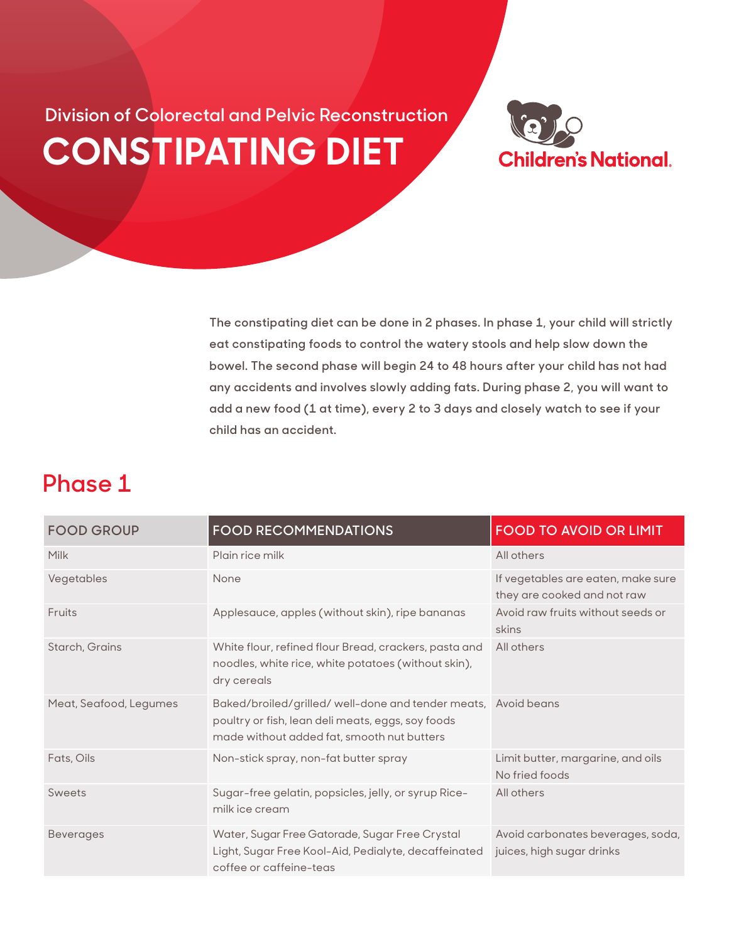**CONSTIPATING DIET Division of Colorectal and Pelvic Reconstruction**



**The constipating diet can be done in 2 phases. In phase 1, your child will strictly eat constipating foods to control the watery stools and help slow down the bowel. The second phase will begin 24 to 48 hours after your child has not had any accidents and involves slowly adding fats. During phase 2, you will want to add a new food (1 at time), every 2 to 3 days and closely watch to see if your child has an accident.**

## **Phase 1**

| <b>FOOD GROUP</b>      | <b>FOOD RECOMMENDATIONS</b>                                                                                                                          | <b>FOOD TO AVOID OR LIMIT</b>                                     |
|------------------------|------------------------------------------------------------------------------------------------------------------------------------------------------|-------------------------------------------------------------------|
| Milk                   | Plain rice milk                                                                                                                                      | All others                                                        |
| Vegetables             | None                                                                                                                                                 | If vegetables are eaten, make sure<br>they are cooked and not raw |
| Fruits                 | Applesauce, apples (without skin), ripe bananas                                                                                                      | Avoid raw fruits without seeds or<br>skins                        |
| Starch, Grains         | White flour, refined flour Bread, crackers, pasta and<br>noodles, white rice, white potatoes (without skin),<br>dry cereals                          | All others                                                        |
| Meat, Seafood, Legumes | Baked/broiled/grilled/well-done and tender meats,<br>poultry or fish, lean deli meats, eggs, soy foods<br>made without added fat, smooth nut butters | Avoid beans                                                       |
| Fats, Oils             | Non-stick spray, non-fat butter spray                                                                                                                | Limit butter, margarine, and oils<br>No fried foods               |
| Sweets                 | Sugar-free gelatin, popsicles, jelly, or syrup Rice-<br>milk ice cream                                                                               | All others                                                        |
| <b>Beverages</b>       | Water, Sugar Free Gatorade, Sugar Free Crystal<br>Light, Sugar Free Kool-Aid, Pedialyte, decaffeinated<br>coffee or caffeine-teas                    | Avoid carbonates beverages, soda,<br>juices, high sugar drinks    |